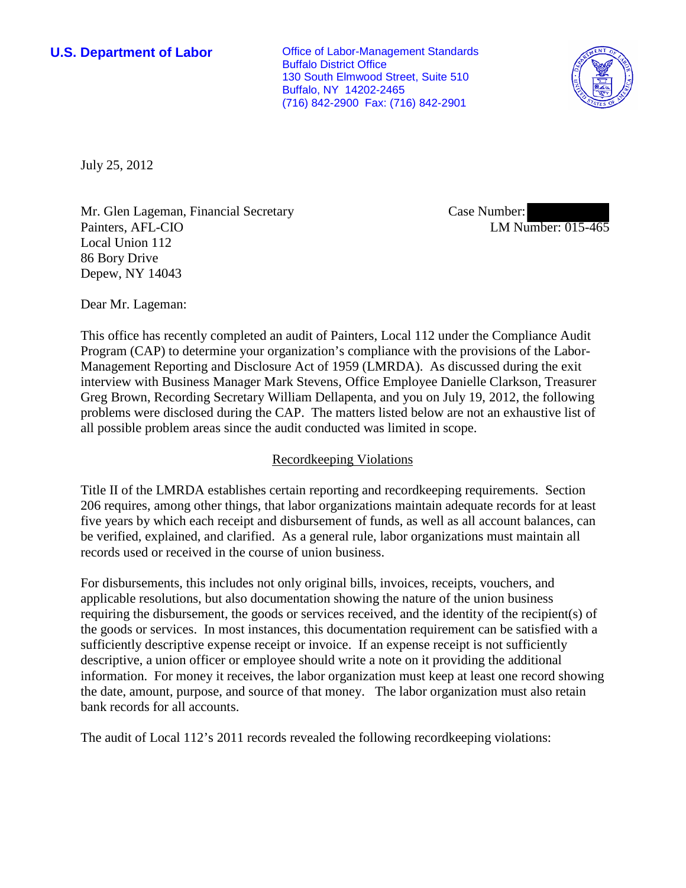**U.S. Department of Labor Office of Labor-Management Standards** Buffalo District Office 130 South Elmwood Street, Suite 510 Buffalo, NY 14202-2465 (716) 842-2900 Fax: (716) 842-2901



July 25, 2012

Mr. Glen Lageman, Financial Secretary Painters, AFL-CIO Local Union 112 86 Bory Drive Depew, NY 14043

Case Number: LM Number: 015-465

Dear Mr. Lageman:

This office has recently completed an audit of Painters, Local 112 under the Compliance Audit Program (CAP) to determine your organization's compliance with the provisions of the Labor-Management Reporting and Disclosure Act of 1959 (LMRDA). As discussed during the exit interview with Business Manager Mark Stevens, Office Employee Danielle Clarkson, Treasurer Greg Brown, Recording Secretary William Dellapenta, and you on July 19, 2012, the following problems were disclosed during the CAP. The matters listed below are not an exhaustive list of all possible problem areas since the audit conducted was limited in scope.

## Recordkeeping Violations

Title II of the LMRDA establishes certain reporting and recordkeeping requirements. Section 206 requires, among other things, that labor organizations maintain adequate records for at least five years by which each receipt and disbursement of funds, as well as all account balances, can be verified, explained, and clarified. As a general rule, labor organizations must maintain all records used or received in the course of union business.

For disbursements, this includes not only original bills, invoices, receipts, vouchers, and applicable resolutions, but also documentation showing the nature of the union business requiring the disbursement, the goods or services received, and the identity of the recipient(s) of the goods or services. In most instances, this documentation requirement can be satisfied with a sufficiently descriptive expense receipt or invoice. If an expense receipt is not sufficiently descriptive, a union officer or employee should write a note on it providing the additional information. For money it receives, the labor organization must keep at least one record showing the date, amount, purpose, and source of that money. The labor organization must also retain bank records for all accounts.

The audit of Local 112's 2011 records revealed the following recordkeeping violations: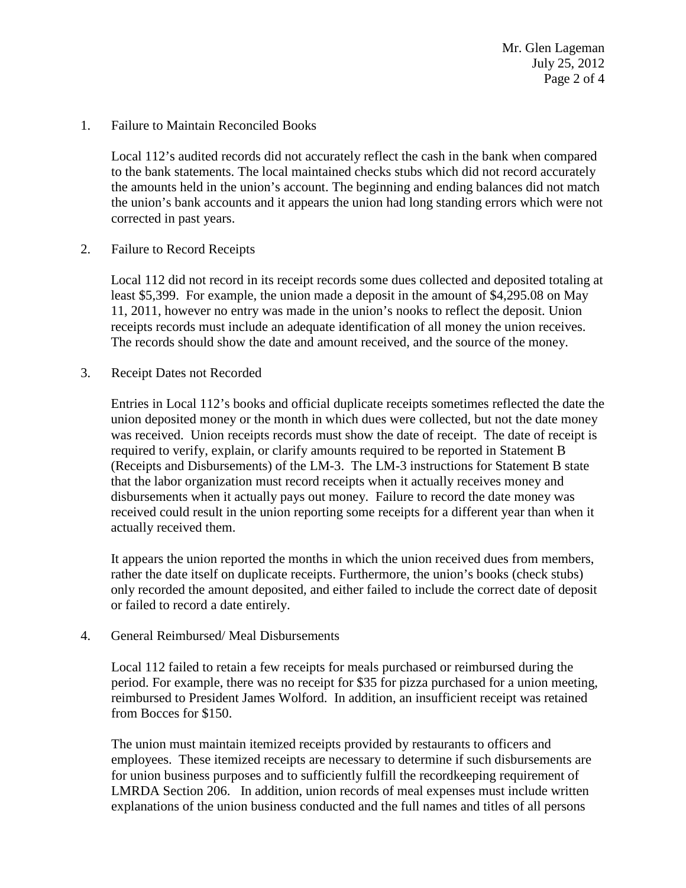Mr. Glen Lageman July 25, 2012 Page 2 of 4

1. Failure to Maintain Reconciled Books

Local 112's audited records did not accurately reflect the cash in the bank when compared to the bank statements. The local maintained checks stubs which did not record accurately the amounts held in the union's account. The beginning and ending balances did not match the union's bank accounts and it appears the union had long standing errors which were not corrected in past years.

2. Failure to Record Receipts

Local 112 did not record in its receipt records some dues collected and deposited totaling at least \$5,399. For example, the union made a deposit in the amount of \$4,295.08 on May 11, 2011, however no entry was made in the union's nooks to reflect the deposit. Union receipts records must include an adequate identification of all money the union receives. The records should show the date and amount received, and the source of the money.

3. Receipt Dates not Recorded

Entries in Local 112's books and official duplicate receipts sometimes reflected the date the union deposited money or the month in which dues were collected, but not the date money was received. Union receipts records must show the date of receipt. The date of receipt is required to verify, explain, or clarify amounts required to be reported in Statement B (Receipts and Disbursements) of the LM-3. The LM-3 instructions for Statement B state that the labor organization must record receipts when it actually receives money and disbursements when it actually pays out money. Failure to record the date money was received could result in the union reporting some receipts for a different year than when it actually received them.

It appears the union reported the months in which the union received dues from members, rather the date itself on duplicate receipts. Furthermore, the union's books (check stubs) only recorded the amount deposited, and either failed to include the correct date of deposit or failed to record a date entirely.

4. General Reimbursed/ Meal Disbursements

Local 112 failed to retain a few receipts for meals purchased or reimbursed during the period. For example, there was no receipt for \$35 for pizza purchased for a union meeting, reimbursed to President James Wolford. In addition, an insufficient receipt was retained from Bocces for \$150.

The union must maintain itemized receipts provided by restaurants to officers and employees. These itemized receipts are necessary to determine if such disbursements are for union business purposes and to sufficiently fulfill the recordkeeping requirement of LMRDA Section 206. In addition, union records of meal expenses must include written explanations of the union business conducted and the full names and titles of all persons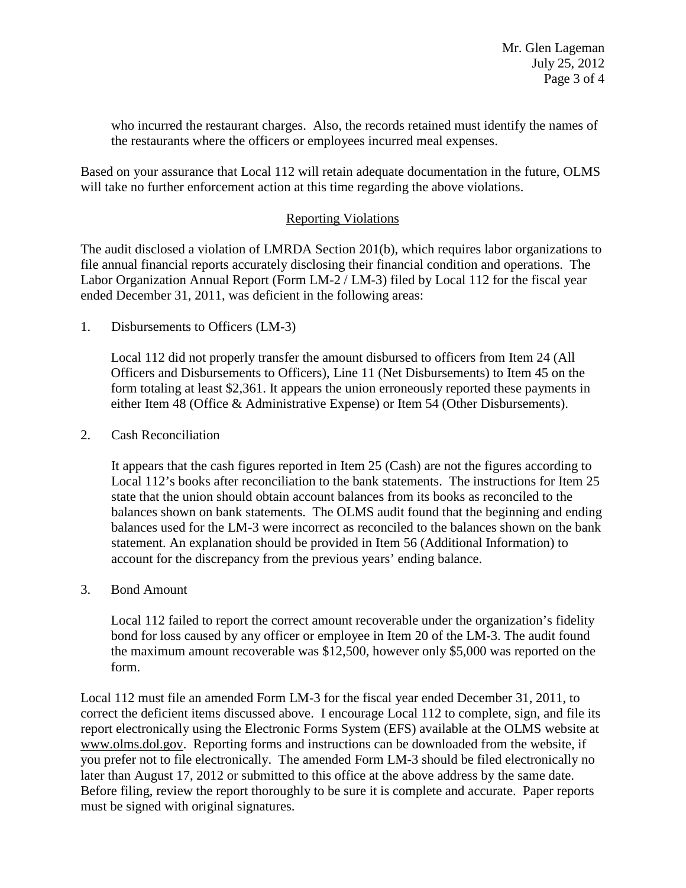who incurred the restaurant charges. Also, the records retained must identify the names of the restaurants where the officers or employees incurred meal expenses.

Based on your assurance that Local 112 will retain adequate documentation in the future, OLMS will take no further enforcement action at this time regarding the above violations.

## Reporting Violations

The audit disclosed a violation of LMRDA Section 201(b), which requires labor organizations to file annual financial reports accurately disclosing their financial condition and operations. The Labor Organization Annual Report (Form LM-2 / LM-3) filed by Local 112 for the fiscal year ended December 31, 2011, was deficient in the following areas:

1. Disbursements to Officers (LM-3)

Local 112 did not properly transfer the amount disbursed to officers from Item 24 (All Officers and Disbursements to Officers), Line 11 (Net Disbursements) to Item 45 on the form totaling at least \$2,361. It appears the union erroneously reported these payments in either Item 48 (Office & Administrative Expense) or Item 54 (Other Disbursements).

2. Cash Reconciliation

It appears that the cash figures reported in Item 25 (Cash) are not the figures according to Local 112's books after reconciliation to the bank statements. The instructions for Item 25 state that the union should obtain account balances from its books as reconciled to the balances shown on bank statements. The OLMS audit found that the beginning and ending balances used for the LM-3 were incorrect as reconciled to the balances shown on the bank statement. An explanation should be provided in Item 56 (Additional Information) to account for the discrepancy from the previous years' ending balance.

3. Bond Amount

Local 112 failed to report the correct amount recoverable under the organization's fidelity bond for loss caused by any officer or employee in Item 20 of the LM-3. The audit found the maximum amount recoverable was \$12,500, however only \$5,000 was reported on the form.

Local 112 must file an amended Form LM-3 for the fiscal year ended December 31, 2011, to correct the deficient items discussed above. I encourage Local 112 to complete, sign, and file its report electronically using the Electronic Forms System (EFS) available at the OLMS website at [www.olms.dol.gov.](http://www.olms.dol.gov/) Reporting forms and instructions can be downloaded from the website, if you prefer not to file electronically. The amended Form LM-3 should be filed electronically no later than August 17, 2012 or submitted to this office at the above address by the same date. Before filing, review the report thoroughly to be sure it is complete and accurate. Paper reports must be signed with original signatures.